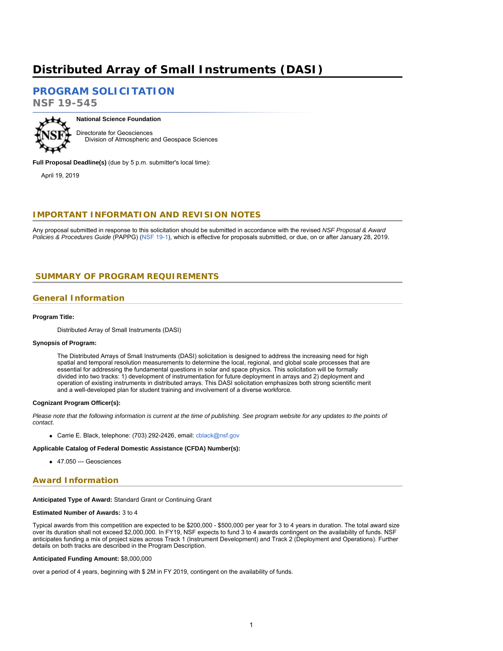# **Distributed Array of Small Instruments (DASI)**

# **[PROGRAM SOLICITATION](#page-2-0)**

**NSF 19-545**



**National Science Foundation** Directorate for Geosciences

Division of Atmospheric and Geospace Sciences

**Full Proposal Deadline(s)** (due by 5 p.m. submitter's local time):

April 19, 2019

# **IMPORTANT INFORMATION AND REVISION NOTES**

Any proposal submitted in response to this solicitation should be submitted in accordance with the revised *NSF Proposal & Award Policies & Procedures Guide* (PAPPG) ([NSF 19-1\)](https://www.nsf.gov/publications/pub_summ.jsp?ods_key=nsf19001), which is effective for proposals submitted, or due, on or after January 28, 2019.

# <span id="page-0-0"></span>**SUMMARY OF PROGRAM REQUIREMENTS**

# **General Information**

### **Program Title:**

Distributed Array of Small Instruments (DASI)

#### **Synopsis of Program:**

The Distributed Arrays of Small Instruments (DASI) solicitation is designed to address the increasing need for high spatial and temporal resolution measurements to determine the local, regional, and global scale processes that are essential for addressing the fundamental questions in solar and space physics. This solicitation will be formally divided into two tracks: 1) development of instrumentation for future deployment in arrays and 2) deployment and operation of existing instruments in distributed arrays. This DASI solicitation emphasizes both strong scientific merit and a well-developed plan for student training and involvement of a diverse workforce.

#### **Cognizant Program Officer(s):**

*Please note that the following information is current at the time of publishing. See program website for any updates to the points of contact.*

● Carrie E. Black, telephone: (703) 292-2426, email: [cblack@nsf.gov](mailto:cblack@nsf.gov)

#### **Applicable Catalog of Federal Domestic Assistance (CFDA) Number(s):**

47.050 --- Geosciences

### **Award Information**

**Anticipated Type of Award:** Standard Grant or Continuing Grant

### **Estimated Number of Awards:** 3 to 4

Typical awards from this competition are expected to be \$200,000 - \$500,000 per year for 3 to 4 years in duration. The total award size over its duration shall not exceed \$2,000,000. In FY19, NSF expects to fund 3 to 4 awards contingent on the availability of funds. NSF anticipates funding a mix of project sizes across Track 1 (Instrument Development) and Track 2 (Deployment and Operations). Further details on both tracks are described in the Program Description.

#### **Anticipated Funding Amount:** \$8,000,000

over a period of 4 years, beginning with \$ 2M in FY 2019, contingent on the availability of funds.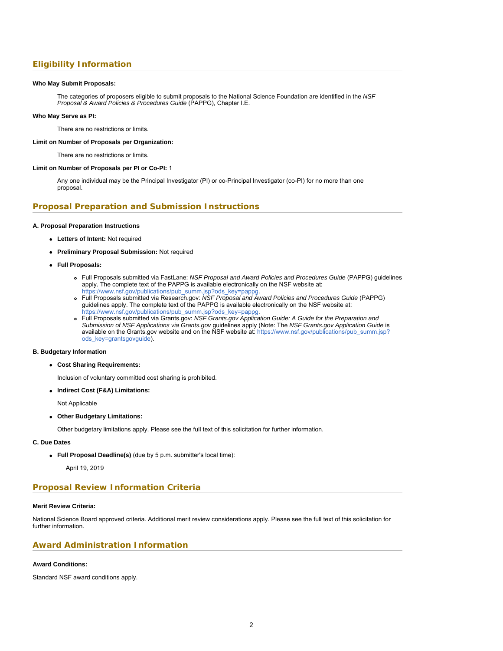# **Eligibility Information**

#### **Who May Submit Proposals:**

The categories of proposers eligible to submit proposals to the National Science Foundation are identified in the *NSF Proposal & Award Policies & Procedures Guide* (PAPPG), Chapter I.E.

#### **Who May Serve as PI:**

There are no restrictions or limits.

#### **Limit on Number of Proposals per Organization:**

There are no restrictions or limits.

### **Limit on Number of Proposals per PI or Co-PI:** 1

Any one individual may be the Principal Investigator (PI) or co-Principal Investigator (co-PI) for no more than one proposal.

# **Proposal Preparation and Submission Instructions**

#### **A. Proposal Preparation Instructions**

- **Letters of Intent:** Not required
- **Preliminary Proposal Submission:** Not required
- **Full Proposals:**
	- Full Proposals submitted via FastLane: *NSF Proposal and Award Policies and Procedures Guide* (PAPPG) guidelines apply. The complete text of the PAPPG is available electronically on the NSF website at: [https://www.nsf.gov/publications/pub\\_summ.jsp?ods\\_key=pappg.](https://www.nsf.gov/publications/pub_summ.jsp?ods_key=pappg)
	- Full Proposals submitted via Research.gov: *NSF Proposal and Award Policies and Procedures Guide* (PAPPG) guidelines apply. The complete text of the PAPPG is available electronically on the NSF website at: [https://www.nsf.gov/publications/pub\\_summ.jsp?ods\\_key=pappg.](https://www.nsf.gov/publications/pub_summ.jsp?ods_key=pappg)
	- Full Proposals submitted via Grants.gov: *NSF Grants.gov Application Guide: A Guide for the Preparation and Submission of NSF Applications via Grants.gov* guidelines apply (Note: The *NSF Grants.gov Application Guide* is available on the Grants.gov website and on the NSF website at: [https://www.nsf.gov/publications/pub\\_summ.jsp?](https://www.nsf.gov/publications/pub_summ.jsp?ods_key=grantsgovguide) [ods\\_key=grantsgovguide](https://www.nsf.gov/publications/pub_summ.jsp?ods_key=grantsgovguide)).

### **B. Budgetary Information**

#### **Cost Sharing Requirements:**

- Inclusion of voluntary committed cost sharing is prohibited.
- **Indirect Cost (F&A) Limitations:**

Not Applicable

### **Other Budgetary Limitations:**

Other budgetary limitations apply. Please see the full text of this solicitation for further information.

#### **C. Due Dates**

**Full Proposal Deadline(s)** (due by 5 p.m. submitter's local time):

April 19, 2019

# **Proposal Review Information Criteria**

### **Merit Review Criteria:**

National Science Board approved criteria. Additional merit review considerations apply. Please see the full text of this solicitation for further information.

# **Award Administration Information**

### **Award Conditions:**

Standard NSF award conditions apply.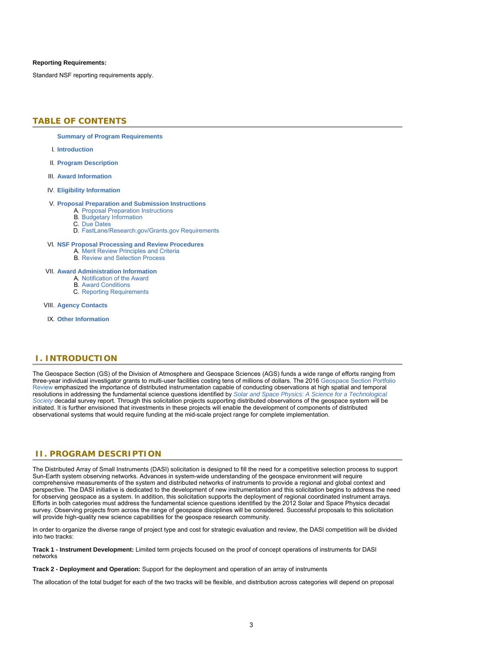### **Reporting Requirements:**

<span id="page-2-0"></span>Standard NSF reporting requirements apply.

# **TABLE OF CONTENTS**

- **[Summary of Program Requirements](#page-0-0)**
- I. **[Introduction](#page-2-1)**
- II. **[Program Description](#page-2-2)**
- III. **[Award Information](#page-3-0)**
- IV. **[Eligibility Information](#page-3-1)**

#### V. **[Proposal Preparation and Submission Instructions](#page-4-0)**

- A. [Proposal Preparation Instructions](#page-4-0)
- B. [Budgetary Information](#page-4-1)
- C. [Due Dates](#page-5-0)
- D. [FastLane/Research.gov/Grants.gov Requirements](#page-5-1)

### VI. **[NSF Proposal Processing and Review Procedures](#page-5-2)**

- A. [Merit Review Principles and Criteria](#page-6-0)
- B. [Review and Selection Process](#page-7-0)

#### VII. **[Award Administration Information](#page-7-1)**

- A. [Notification of the Award](#page-7-2)
	- B. [Award Conditions](#page-7-3)
	- C. [Reporting Requirements](#page-8-0)
- VIII. **[Agency Contacts](#page-8-1)**
- IX. **[Other Information](#page-8-2)**

# <span id="page-2-1"></span>**I. INTRODUCTION**

The Geospace Section (GS) of the Division of Atmosphere and Geospace Sciences (AGS) funds a wide range of efforts ranging from three-year individual investigator grants to multi-user facilities costing tens of millions of dollars. The 2016 [Geospace Section Portfolio](https://www.nsf.gov/geo/ags/updates/gs-portfolio-review-final.pdf) [Review](https://www.nsf.gov/geo/ags/updates/gs-portfolio-review-final.pdf) emphasized the importance of distributed instrumentation capable of conducting observations at high spatial and temporal resolutions in addressing the fundamental science questions identified by *[Solar and Space Physics: A Science for a Technological](https://www.nsf.gov/cgi-bin/goodbye?https://www.nap.edu/catalog/13060/solar-and-space-physics-a-science-for-a-technological-society) [Society](https://www.nsf.gov/cgi-bin/goodbye?https://www.nap.edu/catalog/13060/solar-and-space-physics-a-science-for-a-technological-society)* decadal survey report. Through this solicitation projects supporting distributed observations of the geospace system will be initiated. It is further envisioned that investments in these projects will enable the development of components of distributed observational systems that would require funding at the mid-scale project range for complete implementation.

# <span id="page-2-2"></span>**II. PROGRAM DESCRIPTION**

The Distributed Array of Small Instruments (DASI) solicitation is designed to fill the need for a competitive selection process to support Sun-Earth system observing networks. Advances in system-wide understanding of the geospace environment will require comprehensive measurements of the system and distributed networks of instruments to provide a regional and global context and perspective. The DASI initiative is dedicated to the development of new instrumentation and this solicitation begins to address the need for observing geospace as a system. In addition, this solicitation supports the deployment of regional coordinated instrument arrays. Efforts in both categories must address the fundamental science questions identified by the 2012 Solar and Space Physics decadal survey. Observing projects from across the range of geospace disciplines will be considered. Successful proposals to this solicitation will provide high-quality new science capabilities for the geospace research community.

In order to organize the diverse range of project type and cost for strategic evaluation and review, the DASI competition will be divided into two tracks:

**Track 1 - Instrument Development:** Limited term projects focused on the proof of concept operations of instruments for DASI networks

**Track 2 - Deployment and Operation:** Support for the deployment and operation of an array of instruments

The allocation of the total budget for each of the two tracks will be flexible, and distribution across categories will depend on proposal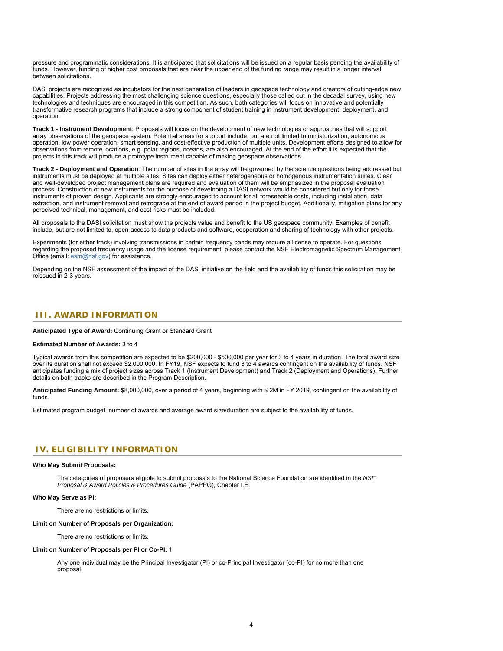pressure and programmatic considerations. It is anticipated that solicitations will be issued on a regular basis pending the availability of funds. However, funding of higher cost proposals that are near the upper end of the funding range may result in a longer interval between solicitations.

DASI projects are recognized as incubators for the next generation of leaders in geospace technology and creators of cutting-edge new capabilities. Projects addressing the most challenging science questions, especially those called out in the decadal survey, using new technologies and techniques are encouraged in this competition. As such, both categories will focus on innovative and potentially transformative research programs that include a strong component of student training in instrument development, deployment, and operation.

**Track 1 - Instrument Development**: Proposals will focus on the development of new technologies or approaches that will support array observations of the geospace system. Potential areas for support include, but are not limited to miniaturization, autonomous operation, low power operation, smart sensing, and cost-effective production of multiple units. Development efforts designed to allow for observations from remote locations, e.g. polar regions, oceans, are also encouraged. At the end of the effort it is expected that the projects in this track will produce a prototype instrument capable of making geospace observations.

**Track 2 - Deployment and Operation**: The number of sites in the array will be governed by the science questions being addressed but instruments must be deployed at multiple sites. Sites can deploy either heterogeneous or homogenous instrumentation suites. Clear and well-developed project management plans are required and evaluation of them will be emphasized in the proposal evaluation process. Construction of new instruments for the purpose of developing a DASI network would be considered but only for those instruments of proven design. Applicants are strongly encouraged to account for all foreseeable costs, including installation, data extraction, and instrument removal and retrograde at the end of award period in the project budget. Additionally, mitigation plans for any perceived technical, management, and cost risks must be included.

All proposals to the DASI solicitation must show the projects value and benefit to the US geospace community. Examples of benefit include, but are not limited to, open-access to data products and software, cooperation and sharing of technology with other projects.

Experiments (for either track) involving transmissions in certain frequency bands may require a license to operate. For questions regarding the proposed frequency usage and the license requirement, please contact the NSF Electromagnetic Spectrum Management Office (email: [esm@nsf.gov\)](mailto:esm@nsf.gov) for assistance.

Depending on the NSF assessment of the impact of the DASI initiative on the field and the availability of funds this solicitation may be reissued in 2-3 years.

# <span id="page-3-0"></span>**III. AWARD INFORMATION**

**Anticipated Type of Award:** Continuing Grant or Standard Grant

### **Estimated Number of Awards:** 3 to 4

Typical awards from this competition are expected to be \$200,000 - \$500,000 per year for 3 to 4 years in duration. The total award size over its duration shall not exceed \$2,000,000. In FY19, NSF expects to fund 3 to 4 awards contingent on the availability of funds. NSF anticipates funding a mix of project sizes across Track 1 (Instrument Development) and Track 2 (Deployment and Operations). Further details on both tracks are described in the Program Description.

**Anticipated Funding Amount:** \$8,000,000, over a period of 4 years, beginning with \$ 2M in FY 2019, contingent on the availability of funds.

Estimated program budget, number of awards and average award size/duration are subject to the availability of funds.

# <span id="page-3-1"></span>**IV. ELIGIBILITY INFORMATION**

#### **Who May Submit Proposals:**

The categories of proposers eligible to submit proposals to the National Science Foundation are identified in the *NSF Proposal & Award Policies & Procedures Guide* (PAPPG), Chapter I.E.

### **Who May Serve as PI:**

There are no restrictions or limits.

### **Limit on Number of Proposals per Organization:**

There are no restrictions or limits.

### **Limit on Number of Proposals per PI or Co-PI:** 1

Any one individual may be the Principal Investigator (PI) or co-Principal Investigator (co-PI) for no more than one proposal.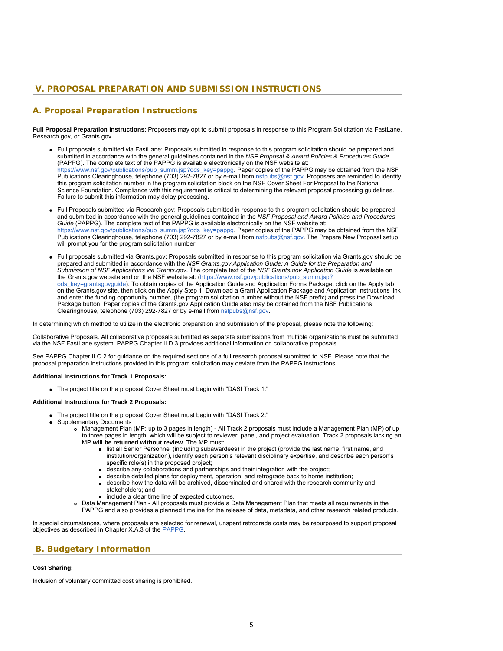# <span id="page-4-0"></span>**V. PROPOSAL PREPARATION AND SUBMISSION INSTRUCTIONS**

# **A. Proposal Preparation Instructions**

**Full Proposal Preparation Instructions**: Proposers may opt to submit proposals in response to this Program Solicitation via FastLane, Research.gov, or Grants.gov.

- Full proposals submitted via FastLane: Proposals submitted in response to this program solicitation should be prepared and submitted in accordance with the general guidelines contained in the *NSF Proposal & Award Policies & Procedures Guide* (PAPPG). The complete text of the PAPPG is available electronically on the NSF website at: [https://www.nsf.gov/publications/pub\\_summ.jsp?ods\\_key=pappg.](https://www.nsf.gov/publications/pub_summ.jsp?ods_key=pappg) Paper copies of the PAPPG may be obtained from the NSF Publications Clearinghouse, telephone (703) 292-7827 or by e-mail from [nsfpubs@nsf.gov](mailto:nsfpubs@nsf.gov). Proposers are reminded to identify this program solicitation number in the program solicitation block on the NSF Cover Sheet For Proposal to the National Science Foundation. Compliance with this requirement is critical to determining the relevant proposal processing guidelines. Failure to submit this information may delay processing.
- Full Proposals submitted via Research.gov: Proposals submitted in response to this program solicitation should be prepared and submitted in accordance with the general guidelines contained in the *NSF Proposal and Award Policies and Procedures Guide* (PAPPG). The complete text of the PAPPG is available electronically on the NSF website at: [https://www.nsf.gov/publications/pub\\_summ.jsp?ods\\_key=pappg.](https://www.nsf.gov/publications/pub_summ.jsp?ods_key=pappg) Paper copies of the PAPPG may be obtained from the NSF Publications Clearinghouse, telephone (703) 292-7827 or by e-mail from [nsfpubs@nsf.gov](mailto:nsfpubs@nsf.gov). The Prepare New Proposal setup will prompt you for the program solicitation number.
- Full proposals submitted via Grants.gov: Proposals submitted in response to this program solicitation via Grants.gov should be prepared and submitted in accordance with the *NSF Grants.gov Application Guide: A Guide for the Preparation and Submission of NSF Applications via Grants.gov*. The complete text of the *NSF Grants.gov Application Guide* is available on the Grants.gov website and on the NSF website at: [\(https://www.nsf.gov/publications/pub\\_summ.jsp?](https://www.nsf.gov/publications/pub_summ.jsp?ods_key=grantsgovguide) [ods\\_key=grantsgovguide](https://www.nsf.gov/publications/pub_summ.jsp?ods_key=grantsgovguide)). To obtain copies of the Application Guide and Application Forms Package, click on the Apply tab on the Grants.gov site, then click on the Apply Step 1: Download a Grant Application Package and Application Instructions link and enter the funding opportunity number, (the program solicitation number without the NSF prefix) and press the Download Package button. Paper copies of the Grants.gov Application Guide also may be obtained from the NSF Publications Clearinghouse, telephone (703) 292-7827 or by e-mail from [nsfpubs@nsf.gov](mailto:nsfpubs@nsf.gov).

In determining which method to utilize in the electronic preparation and submission of the proposal, please note the following:

Collaborative Proposals. All collaborative proposals submitted as separate submissions from multiple organizations must be submitted via the NSF FastLane system. PAPPG Chapter II.D.3 provides additional information on collaborative proposals.

See PAPPG Chapter II.C.2 for guidance on the required sections of a full research proposal submitted to NSF. Please note that the proposal preparation instructions provided in this program solicitation may deviate from the PAPPG instructions.

### **Additional Instructions for Track 1 Proposals:**

The project title on the proposal Cover Sheet must begin with "DASI Track 1:"

#### **Additional Instructions for Track 2 Proposals:**

- The project title on the proposal Cover Sheet must begin with "DASI Track 2:"
- **Supplementary Documents** 
	- Management Plan (MP; up to 3 pages in length) All Track 2 proposals must include a Management Plan (MP) of up to three pages in length, which will be subject to reviewer, panel, and project evaluation. Track 2 proposals lacking an MP **will be returned without review**. The MP must:
		- list all Senior Personnel (including subawardees) in the project (provide the last name, first name, and institution/organization), identify each person's relevant disciplinary expertise, and describe each person's specific role(s) in the proposed project;
		- describe any collaborations and partnerships and their integration with the project;  $\blacksquare$
		- describe detailed plans for deployment, operation, and retrograde back to home institution;
		- describe how the data will be archived, disseminated and shared with the research community and  $\blacksquare$ stakeholders; and
		- include a clear time line of expected outcomes.
	- Data Management Plan All proposals must provide a Data Management Plan that meets all requirements in the
	- PAPPG and also provides a planned timeline for the release of data, metadata, and other research related products.

In special circumstances, where proposals are selected for renewal, unspent retrograde costs may be repurposed to support proposal objectives as described in Chapter X.A.3 of the [PAPPG](https://www.nsf.gov/publications/pub_summ.jsp?ods_key=pappg).

# <span id="page-4-1"></span>**B. Budgetary Information**

### **Cost Sharing:**

Inclusion of voluntary committed cost sharing is prohibited.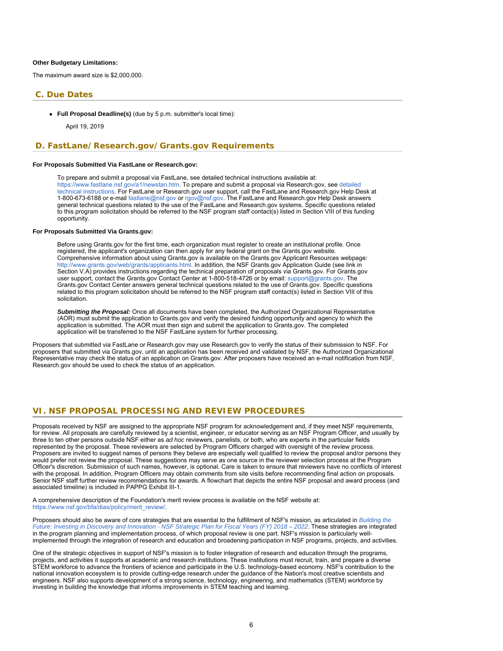### **Other Budgetary Limitations:**

The maximum award size is \$2,000,000.

### <span id="page-5-0"></span>**C. Due Dates**

**Full Proposal Deadline(s)** (due by 5 p.m. submitter's local time):

April 19, 2019

# <span id="page-5-1"></span>**D. FastLane/Research.gov/Grants.gov Requirements**

#### **For Proposals Submitted Via FastLane or Research.gov:**

To prepare and submit a proposal via FastLane, see detailed technical instructions available at: <https://www.fastlane.nsf.gov/a1/newstan.htm>. To prepare and submit a proposal via Research.gov, see [detailed](https://www.research.gov/research-portal/appmanager/base/desktop?_nfpb=true&_pageLabel=research_node_display&_nodePath=/researchGov/Service/Desktop/ProposalPreparationandSubmission.html) [technical instructions](https://www.research.gov/research-portal/appmanager/base/desktop?_nfpb=true&_pageLabel=research_node_display&_nodePath=/researchGov/Service/Desktop/ProposalPreparationandSubmission.html). For FastLane or Research.gov user support, call the FastLane and Research.gov Help Desk at 1-800-673-6188 or e-mail [fastlane@nsf.gov](mailto:fastlane@nsf.gov) or [rgov@nsf.gov](mailto:rgov@nsf.gov). The FastLane and Research.gov Help Desk answers general technical questions related to the use of the FastLane and Research.gov systems. Specific questions related to this program solicitation should be referred to the NSF program staff contact(s) listed in Section VIII of this funding opportunity.

#### **For Proposals Submitted Via Grants.gov:**

Before using Grants.gov for the first time, each organization must register to create an institutional profile. Once registered, the applicant's organization can then apply for any federal grant on the Grants.gov website. Comprehensive information about using Grants.gov is available on the Grants.gov Applicant Resources webpage: [http://www.grants.gov/web/grants/applicants.html.](http://www.grants.gov/web/grants/applicants.html) In addition, the NSF Grants.gov Application Guide (see link in Section V.A) provides instructions regarding the technical preparation of proposals via Grants.gov. For Grants.gov user support, contact the Grants.gov Contact Center at 1-800-518-4726 or by email: [support@grants.gov.](mailto:support@grants.gov) The Grants.gov Contact Center answers general technical questions related to the use of Grants.gov. Specific questions related to this program solicitation should be referred to the NSF program staff contact(s) listed in Section VIII of this solicitation.

*Submitting the Proposal:* Once all documents have been completed, the Authorized Organizational Representative (AOR) must submit the application to Grants.gov and verify the desired funding opportunity and agency to which the application is submitted. The AOR must then sign and submit the application to Grants.gov. The completed application will be transferred to the NSF FastLane system for further processing.

<span id="page-5-2"></span>Proposers that submitted via FastLane or Research.gov may use Research.gov to verify the status of their submission to NSF. For proposers that submitted via Grants.gov, until an application has been received and validated by NSF, the Authorized Organizational Representative may check the status of an application on Grants.gov. After proposers have received an e-mail notification from NSF, Research.gov should be used to check the status of an application.

# **VI. NSF PROPOSAL PROCESSING AND REVIEW PROCEDURES**

Proposals received by NSF are assigned to the appropriate NSF program for acknowledgement and, if they meet NSF requirements, for review. All proposals are carefully reviewed by a scientist, engineer, or educator serving as an NSF Program Officer, and usually by three to ten other persons outside NSF either as *ad hoc* reviewers, panelists, or both, who are experts in the particular fields represented by the proposal. These reviewers are selected by Program Officers charged with oversight of the review process. Proposers are invited to suggest names of persons they believe are especially well qualified to review the proposal and/or persons they would prefer not review the proposal. These suggestions may serve as one source in the reviewer selection process at the Program Officer's discretion. Submission of such names, however, is optional. Care is taken to ensure that reviewers have no conflicts of interest with the proposal. In addition, Program Officers may obtain comments from site visits before recommending final action on proposals. Senior NSF staff further review recommendations for awards. A flowchart that depicts the entire NSF proposal and award process (and associated timeline) is included in PAPPG Exhibit III-1.

A comprehensive description of the Foundation's merit review process is available on the NSF website at: [https://www.nsf.gov/bfa/dias/policy/merit\\_review/](https://www.nsf.gov/bfa/dias/policy/merit_review/).

Proposers should also be aware of core strategies that are essential to the fulfillment of NSF's mission, as articulated in *[Building the](https://www.nsf.gov/publications/pub_summ.jsp?ods_key=nsf18045&org=NSF) [Future: Investing in Discovery and Innovation - NSF Strategic Plan for Fiscal Years \(FY\) 2018 – 2022](https://www.nsf.gov/publications/pub_summ.jsp?ods_key=nsf18045&org=NSF)*. These strategies are integrated in the program planning and implementation process, of which proposal review is one part. NSF's mission is particularly wellimplemented through the integration of research and education and broadening participation in NSF programs, projects, and activities.

One of the strategic objectives in support of NSF's mission is to foster integration of research and education through the programs, projects, and activities it supports at academic and research institutions. These institutions must recruit, train, and prepare a diverse STEM workforce to advance the frontiers of science and participate in the U.S. technology-based economy. NSF's contribution to the national innovation ecosystem is to provide cutting-edge research under the guidance of the Nation's most creative scientists and engineers. NSF also supports development of a strong science, technology, engineering, and mathematics (STEM) workforce by investing in building the knowledge that informs improvements in STEM teaching and learning.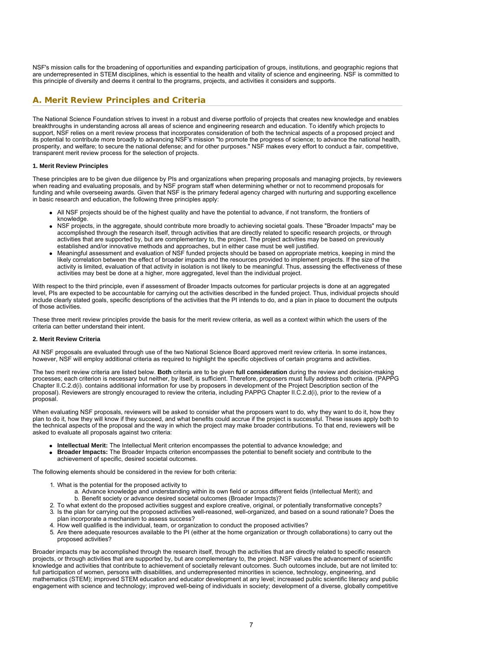NSF's mission calls for the broadening of opportunities and expanding participation of groups, institutions, and geographic regions that are underrepresented in STEM disciplines, which is essential to the health and vitality of science and engineering. NSF is committed to this principle of diversity and deems it central to the programs, projects, and activities it considers and supports.

# <span id="page-6-0"></span>**A. Merit Review Principles and Criteria**

The National Science Foundation strives to invest in a robust and diverse portfolio of projects that creates new knowledge and enables breakthroughs in understanding across all areas of science and engineering research and education. To identify which projects to support, NSF relies on a merit review process that incorporates consideration of both the technical aspects of a proposed project and its potential to contribute more broadly to advancing NSF's mission "to promote the progress of science; to advance the national health, prosperity, and welfare; to secure the national defense; and for other purposes." NSF makes every effort to conduct a fair, competitive, transparent merit review process for the selection of projects.

#### **1. Merit Review Principles**

These principles are to be given due diligence by PIs and organizations when preparing proposals and managing projects, by reviewers when reading and evaluating proposals, and by NSF program staff when determining whether or not to recommend proposals for funding and while overseeing awards. Given that NSF is the primary federal agency charged with nurturing and supporting excellence in basic research and education, the following three principles apply:

- All NSF projects should be of the highest quality and have the potential to advance, if not transform, the frontiers of knowledge.
- NSF projects, in the aggregate, should contribute more broadly to achieving societal goals. These "Broader Impacts" may be accomplished through the research itself, through activities that are directly related to specific research projects, or through activities that are supported by, but are complementary to, the project. The project activities may be based on previously established and/or innovative methods and approaches, but in either case must be well justified.
- Meaningful assessment and evaluation of NSF funded projects should be based on appropriate metrics, keeping in mind the likely correlation between the effect of broader impacts and the resources provided to implement projects. If the size of the activity is limited, evaluation of that activity in isolation is not likely to be meaningful. Thus, assessing the effectiveness of these activities may best be done at a higher, more aggregated, level than the individual project.

With respect to the third principle, even if assessment of Broader Impacts outcomes for particular projects is done at an aggregated level, PIs are expected to be accountable for carrying out the activities described in the funded project. Thus, individual projects should include clearly stated goals, specific descriptions of the activities that the PI intends to do, and a plan in place to document the outputs of those activities.

These three merit review principles provide the basis for the merit review criteria, as well as a context within which the users of the criteria can better understand their intent.

### **2. Merit Review Criteria**

All NSF proposals are evaluated through use of the two National Science Board approved merit review criteria. In some instances, however, NSF will employ additional criteria as required to highlight the specific objectives of certain programs and activities.

The two merit review criteria are listed below. **Both** criteria are to be given **full consideration** during the review and decision-making processes; each criterion is necessary but neither, by itself, is sufficient. Therefore, proposers must fully address both criteria. (PAPPG Chapter II.C.2.d(i). contains additional information for use by proposers in development of the Project Description section of the proposal). Reviewers are strongly encouraged to review the criteria, including PAPPG Chapter II.C.2.d(i), prior to the review of a proposal.

When evaluating NSF proposals, reviewers will be asked to consider what the proposers want to do, why they want to do it, how they plan to do it, how they will know if they succeed, and what benefits could accrue if the project is successful. These issues apply both to the technical aspects of the proposal and the way in which the project may make broader contributions. To that end, reviewers will be asked to evaluate all proposals against two criteria:

- **Intellectual Merit:** The Intellectual Merit criterion encompasses the potential to advance knowledge; and
- **Broader Impacts:** The Broader Impacts criterion encompasses the potential to benefit society and contribute to the achievement of specific, desired societal outcomes.

The following elements should be considered in the review for both criteria:

- 1. What is the potential for the proposed activity to
	- a. Advance knowledge and understanding within its own field or across different fields (Intellectual Merit); and b. Benefit society or advance desired societal outcomes (Broader Impacts)?
- 2. To what extent do the proposed activities suggest and explore creative, original, or potentially transformative concepts?<br>3. Is the plan for carrying out the proposed activities well-reasoned, well-organized, and based
- Is the plan for carrying out the proposed activities well-reasoned, well-organized, and based on a sound rationale? Does the plan incorporate a mechanism to assess success?
- 4. How well qualified is the individual, team, or organization to conduct the proposed activities?
- 5. Are there adequate resources available to the PI (either at the home organization or through collaborations) to carry out the proposed activities?

Broader impacts may be accomplished through the research itself, through the activities that are directly related to specific research projects, or through activities that are supported by, but are complementary to, the project. NSF values the advancement of scientific knowledge and activities that contribute to achievement of societally relevant outcomes. Such outcomes include, but are not limited to: full participation of women, persons with disabilities, and underrepresented minorities in science, technology, engineering, and mathematics (STEM); improved STEM education and educator development at any level; increased public scientific literacy and public engagement with science and technology; improved well-being of individuals in society; development of a diverse, globally competitive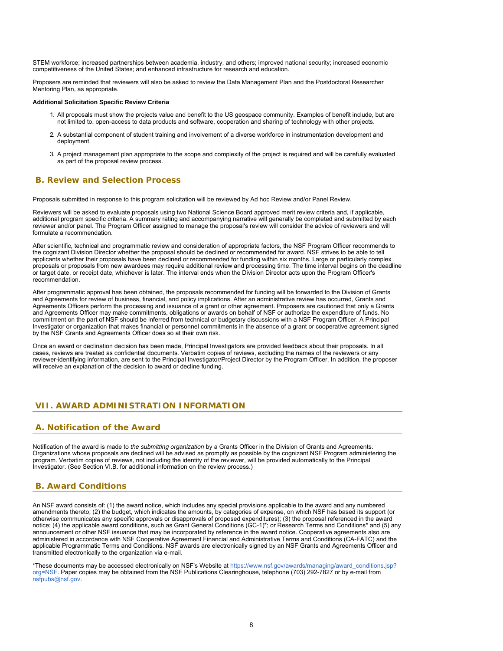STEM workforce; increased partnerships between academia, industry, and others; improved national security; increased economic competitiveness of the United States; and enhanced infrastructure for research and education.

Proposers are reminded that reviewers will also be asked to review the Data Management Plan and the Postdoctoral Researcher Mentoring Plan, as appropriate.

### **Additional Solicitation Specific Review Criteria**

- 1. All proposals must show the projects value and benefit to the US geospace community. Examples of benefit include, but are not limited to, open-access to data products and software, cooperation and sharing of technology with other projects.
- 2. A substantial component of student training and involvement of a diverse workforce in instrumentation development and deployment.
- 3. A project management plan appropriate to the scope and complexity of the project is required and will be carefully evaluated as part of the proposal review process.

# <span id="page-7-0"></span>**B. Review and Selection Process**

Proposals submitted in response to this program solicitation will be reviewed by Ad hoc Review and/or Panel Review.

Reviewers will be asked to evaluate proposals using two National Science Board approved merit review criteria and, if applicable, additional program specific criteria. A summary rating and accompanying narrative will generally be completed and submitted by each reviewer and/or panel. The Program Officer assigned to manage the proposal's review will consider the advice of reviewers and will formulate a recommendation.

After scientific, technical and programmatic review and consideration of appropriate factors, the NSF Program Officer recommends to the cognizant Division Director whether the proposal should be declined or recommended for award. NSF strives to be able to tell applicants whether their proposals have been declined or recommended for funding within six months. Large or particularly complex proposals or proposals from new awardees may require additional review and processing time. The time interval begins on the deadline or target date, or receipt date, whichever is later. The interval ends when the Division Director acts upon the Program Officer's recommendation.

After programmatic approval has been obtained, the proposals recommended for funding will be forwarded to the Division of Grants and Agreements for review of business, financial, and policy implications. After an administrative review has occurred, Grants and Agreements Officers perform the processing and issuance of a grant or other agreement. Proposers are cautioned that only a Grants and Agreements Officer may make commitments, obligations or awards on behalf of NSF or authorize the expenditure of funds. No commitment on the part of NSF should be inferred from technical or budgetary discussions with a NSF Program Officer. A Principal Investigator or organization that makes financial or personnel commitments in the absence of a grant or cooperative agreement signed by the NSF Grants and Agreements Officer does so at their own risk.

Once an award or declination decision has been made, Principal Investigators are provided feedback about their proposals. In all cases, reviews are treated as confidential documents. Verbatim copies of reviews, excluding the names of the reviewers or any reviewer-identifying information, are sent to the Principal Investigator/Project Director by the Program Officer. In addition, the proposer will receive an explanation of the decision to award or decline funding.

# <span id="page-7-1"></span>**VII. AWARD ADMINISTRATION INFORMATION**

# <span id="page-7-2"></span>**A. Notification of the Award**

Notification of the award is made to *the submitting organization* by a Grants Officer in the Division of Grants and Agreements. Organizations whose proposals are declined will be advised as promptly as possible by the cognizant NSF Program administering the program. Verbatim copies of reviews, not including the identity of the reviewer, will be provided automatically to the Principal Investigator. (See Section VI.B. for additional information on the review process.)

# <span id="page-7-3"></span>**B. Award Conditions**

An NSF award consists of: (1) the award notice, which includes any special provisions applicable to the award and any numbered amendments thereto; (2) the budget, which indicates the amounts, by categories of expense, on which NSF has based its support (or otherwise communicates any specific approvals or disapprovals of proposed expenditures); (3) the proposal referenced in the award notice; (4) the applicable award conditions, such as Grant General Conditions (GC-1)\*; or Research Terms and Conditions\* and (5) any announcement or other NSF issuance that may be incorporated by reference in the award notice. Cooperative agreements also are administered in accordance with NSF Cooperative Agreement Financial and Administrative Terms and Conditions (CA-FATC) and the applicable Programmatic Terms and Conditions. NSF awards are electronically signed by an NSF Grants and Agreements Officer and transmitted electronically to the organization via e-mail.

\*These documents may be accessed electronically on NSF's Website at [https://www.nsf.gov/awards/managing/award\\_conditions.jsp?](https://www.nsf.gov/awards/managing/award_conditions.jsp?org=NSF) [org=NSF.](https://www.nsf.gov/awards/managing/award_conditions.jsp?org=NSF) Paper copies may be obtained from the NSF Publications Clearinghouse, telephone (703) 292-7827 or by e-mail from [nsfpubs@nsf.gov.](mailto:nsfpubs@nsf.gov)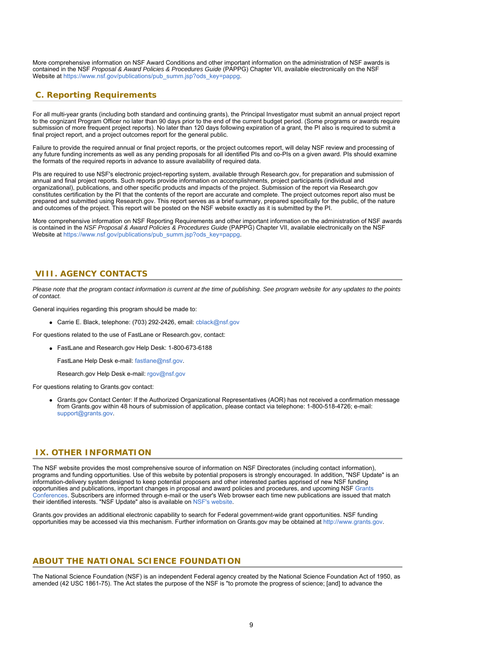More comprehensive information on NSF Award Conditions and other important information on the administration of NSF awards is contained in the NSF *Proposal & Award Policies & Procedures Guide* (PAPPG) Chapter VII, available electronically on the NSF Website at [https://www.nsf.gov/publications/pub\\_summ.jsp?ods\\_key=pappg](https://www.nsf.gov/publications/pub_summ.jsp?ods_key=pappg).

# <span id="page-8-0"></span>**C. Reporting Requirements**

For all multi-year grants (including both standard and continuing grants), the Principal Investigator must submit an annual project report to the cognizant Program Officer no later than 90 days prior to the end of the current budget period. (Some programs or awards require submission of more frequent project reports). No later than 120 days following expiration of a grant, the PI also is required to submit a final project report, and a project outcomes report for the general public.

Failure to provide the required annual or final project reports, or the project outcomes report, will delay NSF review and processing of any future funding increments as well as any pending proposals for all identified PIs and co-PIs on a given award. PIs should examine the formats of the required reports in advance to assure availability of required data.

PIs are required to use NSF's electronic project-reporting system, available through Research.gov, for preparation and submission of annual and final project reports. Such reports provide information on accomplishments, project participants (individual and organizational), publications, and other specific products and impacts of the project. Submission of the report via Research.gov constitutes certification by the PI that the contents of the report are accurate and complete. The project outcomes report also must be prepared and submitted using Research.gov. This report serves as a brief summary, prepared specifically for the public, of the nature and outcomes of the project. This report will be posted on the NSF website exactly as it is submitted by the PI.

More comprehensive information on NSF Reporting Requirements and other important information on the administration of NSF awards is contained in the *NSF Proposal & Award Policies & Procedures Guide* (PAPPG) Chapter VII, available electronically on the NSF Website at [https://www.nsf.gov/publications/pub\\_summ.jsp?ods\\_key=pappg](https://www.nsf.gov/publications/pub_summ.jsp?ods_key=pappg).

# <span id="page-8-1"></span>**VIII. AGENCY CONTACTS**

*Please note that the program contact information is current at the time of publishing. See program website for any updates to the points of contact.*

General inquiries regarding this program should be made to:

Carrie E. Black, telephone: (703) 292-2426, email: [cblack@nsf.gov](mailto:cblack@nsf.gov)

For questions related to the use of FastLane or Research.gov, contact:

FastLane and Research.gov Help Desk: 1-800-673-6188

FastLane Help Desk e-mail: [fastlane@nsf.gov](mailto:fastlane@nsf.gov).

Research.gov Help Desk e-mail: [rgov@nsf.gov](mailto:rgov@nsf.gov)

For questions relating to Grants gov contact:

Grants.gov Contact Center: If the Authorized Organizational Representatives (AOR) has not received a confirmation message from Grants.gov within 48 hours of submission of application, please contact via telephone: 1-800-518-4726; e-mail: [support@grants.gov.](mailto:support@grants.gov)

# <span id="page-8-2"></span>**IX. OTHER INFORMATION**

The NSF website provides the most comprehensive source of information on NSF Directorates (including contact information), programs and funding opportunities. Use of this website by potential proposers is strongly encouraged. In addition, "NSF Update" is an information-delivery system designed to keep potential proposers and other interested parties apprised of new NSF funding opportunities and publications, important changes in proposal and award policies and procedures, and upcoming NSF [Grants](https://www.nsf.gov/bfa/dias/policy/outreach.jsp) [Conferences](https://www.nsf.gov/bfa/dias/policy/outreach.jsp). Subscribers are informed through e-mail or the user's Web browser each time new publications are issued that match their identified interests. "NSF Update" also is available on [NSF's website](https://www.nsf.gov/cgi-bin/goodbye?https://public.govdelivery.com/accounts/USNSF/subscriber/new?topic_id=USNSF_179).

Grants.gov provides an additional electronic capability to search for Federal government-wide grant opportunities. NSF funding opportunities may be accessed via this mechanism. Further information on Grants.gov may be obtained at [http://www.grants.gov](http://www.grants.gov/).

# **ABOUT THE NATIONAL SCIENCE FOUNDATION**

The National Science Foundation (NSF) is an independent Federal agency created by the National Science Foundation Act of 1950, as amended (42 USC 1861-75). The Act states the purpose of the NSF is "to promote the progress of science; [and] to advance the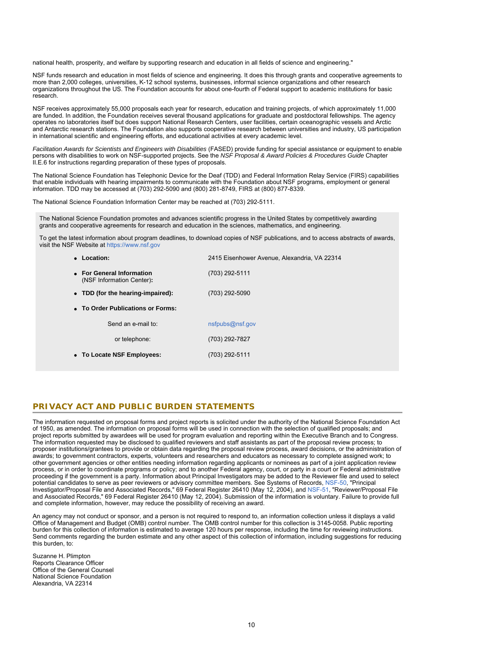national health, prosperity, and welfare by supporting research and education in all fields of science and engineering."

NSF funds research and education in most fields of science and engineering. It does this through grants and cooperative agreements to more than 2,000 colleges, universities, K-12 school systems, businesses, informal science organizations and other research organizations throughout the US. The Foundation accounts for about one-fourth of Federal support to academic institutions for basic research.

NSF receives approximately 55,000 proposals each year for research, education and training projects, of which approximately 11,000 are funded. In addition, the Foundation receives several thousand applications for graduate and postdoctoral fellowships. The agency operates no laboratories itself but does support National Research Centers, user facilities, certain oceanographic vessels and Arctic and Antarctic research stations. The Foundation also supports cooperative research between universities and industry, US participation in international scientific and engineering efforts, and educational activities at every academic level.

*Facilitation Awards for Scientists and Engineers with Disabilities* (FASED) provide funding for special assistance or equipment to enable persons with disabilities to work on NSF-supported projects. See the *NSF Proposal & Award Policies & Procedures Guide* Chapter II.E.6 for instructions regarding preparation of these types of proposals.

The National Science Foundation has Telephonic Device for the Deaf (TDD) and Federal Information Relay Service (FIRS) capabilities that enable individuals with hearing impairments to communicate with the Foundation about NSF programs, employment or general information. TDD may be accessed at (703) 292-5090 and (800) 281-8749, FIRS at (800) 877-8339.

The National Science Foundation Information Center may be reached at (703) 292-5111.

The National Science Foundation promotes and advances scientific progress in the United States by competitively awarding grants and cooperative agreements for research and education in the sciences, mathematics, and engineering.

To get the latest information about program deadlines, to download copies of NSF publications, and to access abstracts of awards, visit the NSF Website at [https://www.nsf.gov](https://www.nsf.gov/)

| 2415 Eisenhower Avenue, Alexandria, VA 22314 |
|----------------------------------------------|
| (703) 292-5111                               |
| (703) 292-5090                               |
|                                              |
| nsfpubs@nsf.gov                              |
| (703) 292-7827                               |
| (703) 292-5111                               |
|                                              |

# **PRIVACY ACT AND PUBLIC BURDEN STATEMENTS**

The information requested on proposal forms and project reports is solicited under the authority of the National Science Foundation Act of 1950, as amended. The information on proposal forms will be used in connection with the selection of qualified proposals; and project reports submitted by awardees will be used for program evaluation and reporting within the Executive Branch and to Congress. The information requested may be disclosed to qualified reviewers and staff assistants as part of the proposal review process; to proposer institutions/grantees to provide or obtain data regarding the proposal review process, award decisions, or the administration of awards; to government contractors, experts, volunteers and researchers and educators as necessary to complete assigned work; to other government agencies or other entities needing information regarding applicants or nominees as part of a joint application review process, or in order to coordinate programs or policy; and to another Federal agency, court, or party in a court or Federal administrative proceeding if the government is a party. Information about Principal Investigators may be added to the Reviewer file and used to select potential candidates to serve as peer reviewers or advisory committee members. See Systems of Records, [NSF-50,](https://www.nsf.gov/policies/SOR_PA_NSF-50_Principal_Investigator_Proposal_File.pdf) "Principal Investigator/Proposal File and Associated Records," 69 Federal Register 26410 (May 12, 2004), and [NSF-51](https://www.nsf.gov/policies/SOR_PA_NSF-51_Reviewer_Proposal_File.pdf), "Reviewer/Proposal File and Associated Records," 69 Federal Register 26410 (May 12, 2004). Submission of the information is voluntary. Failure to provide full and complete information, however, may reduce the possibility of receiving an award.

An agency may not conduct or sponsor, and a person is not required to respond to, an information collection unless it displays a valid Office of Management and Budget (OMB) control number. The OMB control number for this collection is 3145-0058. Public reporting burden for this collection of information is estimated to average 120 hours per response, including the time for reviewing instructions. Send comments regarding the burden estimate and any other aspect of this collection of information, including suggestions for reducing this burden, to:

Suzanne H. Plimpton Reports Clearance Officer Office of the General Counsel National Science Foundation Alexandria, VA 22314